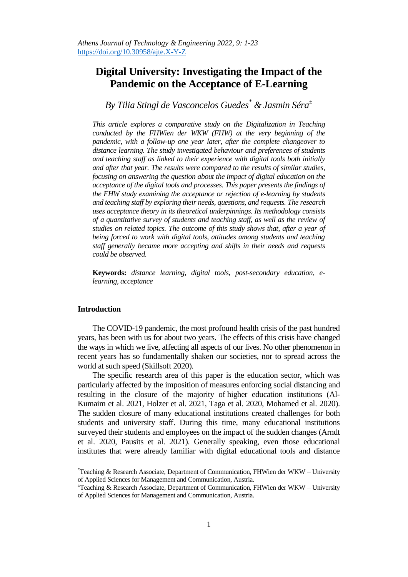# **Digital University: Investigating the Impact of the Pandemic on the Acceptance of E-Learning**

*By Tilia Stingl de Vasconcelos Guedes\* & Jasmin Séra<sup>±</sup>*

*This article explores a comparative study on the Digitalization in Teaching conducted by the FHWien der WKW (FHW) at the very beginning of the pandemic, with a follow-up one year later, after the complete changeover to distance learning. The study investigated behaviour and preferences of students and teaching staff as linked to their experience with digital tools both initially and after that year. The results were compared to the results of similar studies, focusing on answering the question about the impact of digital education on the acceptance of the digital tools and processes. This paper presents the findings of the FHW study examining the acceptance or rejection of e-learning by students and teaching staff by exploring their needs, questions, and requests. The research uses acceptance theory in its theoretical underpinnings. Its methodology consists of a quantitative survey of students and teaching staff, as well as the review of studies on related topics. The outcome of this study shows that, after a year of being forced to work with digital tools, attitudes among students and teaching staff generally became more accepting and shifts in their needs and requests could be observed.*

**Keywords:** *distance learning, digital tools, post-secondary education, elearning, acceptance* 

# **Introduction**

 $\overline{a}$ 

The COVID-19 pandemic, the most profound health crisis of the past hundred years, has been with us for about two years. The effects of this crisis have changed the ways in which we live, affecting all aspects of our lives. No other phenomenon in recent years has so fundamentally shaken our societies, nor to spread across the world at such speed (Skillsoft 2020).

The specific research area of this paper is the education sector, which was particularly affected by the imposition of measures enforcing social distancing and resulting in the closure of the majority of higher education institutions (Al-Kumaim et al. 2021, Holzer et al. 2021, Taga et al. 2020, Mohamed et al. 2020). The sudden closure of many educational institutions created challenges for both students and university staff. During this time, many educational institutions surveyed their students and employees on the impact of the sudden changes (Arndt et al. 2020, Pausits et al. 2021). Generally speaking, even those educational institutes that were already familiar with digital educational tools and distance

<sup>\*</sup>Teaching & Research Associate, Department of Communication, FHWien der WKW – University of Applied Sciences for Management and Communication, Austria.

 $^{\pm}$ Teaching & Research Associate, Department of Communication, FHWien der WKW – University of Applied Sciences for Management and Communication, Austria.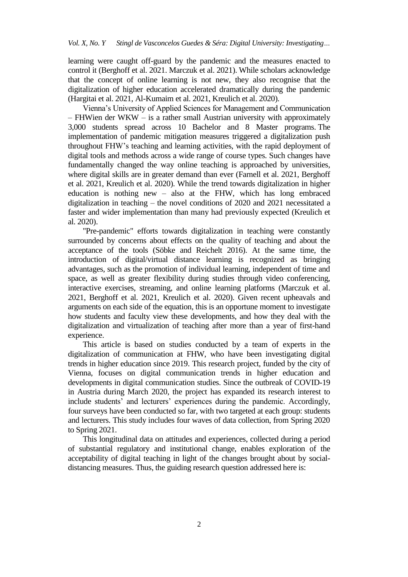learning were caught off-guard by the pandemic and the measures enacted to control it (Berghoff et al. 2021. Marczuk et al. 2021). While scholars acknowledge that the concept of online learning is not new, they also recognise that the digitalization of higher education accelerated dramatically during the pandemic (Hargitai et al. 2021, Al-Kumaim et al. 2021, Kreulich et al. 2020).

Vienna"s University of Applied Sciences for Management and Communication – FHWien der WKW – is a rather small Austrian university with approximately 3,000 students spread across 10 Bachelor and 8 Master programs. The implementation of pandemic mitigation measures triggered a digitalization push throughout FHW"s teaching and learning activities, with the rapid deployment of digital tools and methods across a wide range of course types. Such changes have fundamentally changed the way online teaching is approached by universities, where digital skills are in greater demand than ever (Farnell et al. 2021, Berghoff et al. 2021, Kreulich et al. 2020). While the trend towards digitalization in higher education is nothing new – also at the FHW, which has long embraced digitalization in teaching – the novel conditions of 2020 and 2021 necessitated a faster and wider implementation than many had previously expected (Kreulich et al. 2020).

"Pre-pandemic" efforts towards digitalization in teaching were constantly surrounded by concerns about effects on the quality of teaching and about the acceptance of the tools (Söbke and Reichelt 2016). At the same time, the introduction of digital/virtual distance learning is recognized as bringing advantages, such as the promotion of individual learning, independent of time and space, as well as greater flexibility during studies through video conferencing, interactive exercises, streaming, and online learning platforms (Marczuk et al. 2021, Berghoff et al. 2021, Kreulich et al. 2020). Given recent upheavals and arguments on each side of the equation, this is an opportune moment to investigate how students and faculty view these developments, and how they deal with the digitalization and virtualization of teaching after more than a year of first-hand experience.

This article is based on studies conducted by a team of experts in the digitalization of communication at FHW, who have been investigating digital trends in higher education since 2019. This research project, funded by the city of Vienna, focuses on digital communication trends in higher education and developments in digital communication studies. Since the outbreak of COVID-19 in Austria during March 2020, the project has expanded its research interest to include students' and lecturers' experiences during the pandemic. Accordingly, four surveys have been conducted so far, with two targeted at each group: students and lecturers. This study includes four waves of data collection, from Spring 2020 to Spring 2021.

This longitudinal data on attitudes and experiences, collected during a period of substantial regulatory and institutional change, enables exploration of the acceptability of digital teaching in light of the changes brought about by socialdistancing measures. Thus, the guiding research question addressed here is: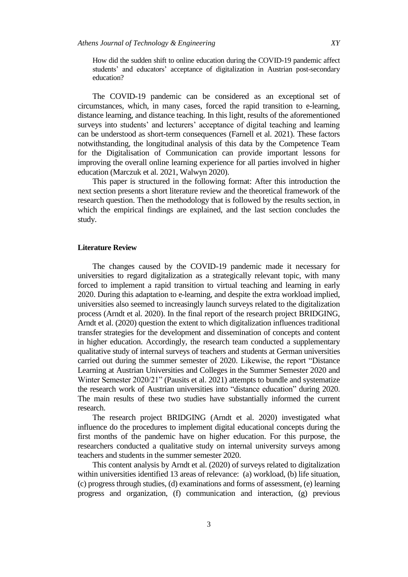How did the sudden shift to online education during the COVID-19 pandemic affect students' and educators' acceptance of digitalization in Austrian post-secondary education?

The COVID-19 pandemic can be considered as an exceptional set of circumstances, which, in many cases, forced the rapid transition to e-learning, distance learning, and distance teaching. In this light, results of the aforementioned surveys into students' and lecturers' acceptance of digital teaching and learning can be understood as short-term consequences (Farnell et al. 2021). These factors notwithstanding, the longitudinal analysis of this data by the Competence Team for the Digitalisation of Communication can provide important lessons for improving the overall online learning experience for all parties involved in higher education (Marczuk et al. 2021, Walwyn 2020).

This paper is structured in the following format: After this introduction the next section presents a short literature review and the theoretical framework of the research question. Then the methodology that is followed by the results section, in which the empirical findings are explained, and the last section concludes the study.

#### **Literature Review**

The changes caused by the COVID-19 pandemic made it necessary for universities to regard digitalization as a strategically relevant topic, with many forced to implement a rapid transition to virtual teaching and learning in early 2020. During this adaptation to e-learning, and despite the extra workload implied, universities also seemed to increasingly launch surveys related to the digitalization process (Arndt et al. 2020). In the final report of the research project BRIDGING, Arndt et al. (2020) question the extent to which digitalization influences traditional transfer strategies for the development and dissemination of concepts and content in higher education. Accordingly, the research team conducted a supplementary qualitative study of internal surveys of teachers and students at German universities carried out during the summer semester of 2020. Likewise, the report "Distance Learning at Austrian Universities and Colleges in the Summer Semester 2020 and Winter Semester 2020/21" (Pausits et al. 2021) attempts to bundle and systematize the research work of Austrian universities into "distance education" during 2020. The main results of these two studies have substantially informed the current research.

The research project BRIDGING (Arndt et al. 2020) investigated what influence do the procedures to implement digital educational concepts during the first months of the pandemic have on higher education. For this purpose, the researchers conducted a qualitative study on internal university surveys among teachers and students in the summer semester 2020.

This content analysis by Arndt et al. (2020) of surveys related to digitalization within universities identified 13 areas of relevance: (a) workload, (b) life situation, (c) progress through studies, (d) examinations and forms of assessment, (e) learning progress and organization, (f) communication and interaction, (g) previous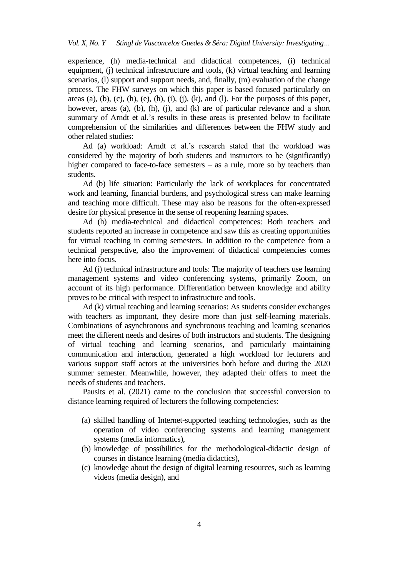experience, (h) media-technical and didactical competences, (i) technical equipment, (j) technical infrastructure and tools, (k) virtual teaching and learning scenarios, (1) support and support needs, and, finally, (m) evaluation of the change process. The FHW surveys on which this paper is based focused particularly on areas (a), (b), (c), (h), (e), (h), (i), (j), (k), and (l). For the purposes of this paper, however, areas (a), (b), (h), (j), and (k) are of particular relevance and a short summary of Arndt et al.'s results in these areas is presented below to facilitate comprehension of the similarities and differences between the FHW study and other related studies:

Ad (a) workload: Arndt et al.'s research stated that the workload was considered by the majority of both students and instructors to be (significantly) higher compared to face-to-face semesters – as a rule, more so by teachers than students.

Ad (b) life situation: Particularly the lack of workplaces for concentrated work and learning, financial burdens, and psychological stress can make learning and teaching more difficult. These may also be reasons for the often-expressed desire for physical presence in the sense of reopening learning spaces.

Ad (h) media-technical and didactical competences: Both teachers and students reported an increase in competence and saw this as creating opportunities for virtual teaching in coming semesters. In addition to the competence from a technical perspective, also the improvement of didactical competencies comes here into focus.

Ad (j) technical infrastructure and tools: The majority of teachers use learning management systems and video conferencing systems, primarily Zoom, on account of its high performance. Differentiation between knowledge and ability proves to be critical with respect to infrastructure and tools.

Ad (k) virtual teaching and learning scenarios: As students consider exchanges with teachers as important, they desire more than just self-learning materials. Combinations of asynchronous and synchronous teaching and learning scenarios meet the different needs and desires of both instructors and students. The designing of virtual teaching and learning scenarios, and particularly maintaining communication and interaction, generated a high workload for lecturers and various support staff actors at the universities both before and during the 2020 summer semester. Meanwhile, however, they adapted their offers to meet the needs of students and teachers.

Pausits et al. (2021) came to the conclusion that successful conversion to distance learning required of lecturers the following competencies:

- (a) skilled handling of Internet-supported teaching technologies, such as the operation of video conferencing systems and learning management systems (media informatics),
- (b) knowledge of possibilities for the methodological-didactic design of courses in distance learning (media didactics),
- (c) knowledge about the design of digital learning resources, such as learning videos (media design), and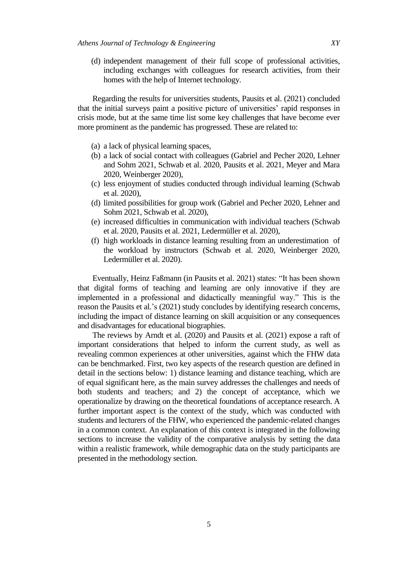(d) independent management of their full scope of professional activities, including exchanges with colleagues for research activities, from their homes with the help of Internet technology.

Regarding the results for universities students, Pausits et al. (2021) concluded that the initial surveys paint a positive picture of universities" rapid responses in crisis mode, but at the same time list some key challenges that have become ever more prominent as the pandemic has progressed. These are related to:

- (a) a lack of physical learning spaces,
- (b) a lack of social contact with colleagues (Gabriel and Pecher 2020, Lehner and Sohm 2021, Schwab et al. 2020, Pausits et al. 2021, Meyer and Mara 2020, Weinberger 2020),
- (c) less enjoyment of studies conducted through individual learning (Schwab et al. 2020),
- (d) limited possibilities for group work (Gabriel and Pecher 2020, Lehner and Sohm 2021, Schwab et al. 2020),
- (e) increased difficulties in communication with individual teachers (Schwab et al. 2020, Pausits et al. 2021, Ledermüller et al. 2020),
- (f) high workloads in distance learning resulting from an underestimation of the workload by instructors (Schwab et al. 2020, Weinberger 2020, Ledermüller et al. 2020).

Eventually, Heinz Faßmann (in Pausits et al. 2021) states: "It has been shown that digital forms of teaching and learning are only innovative if they are implemented in a professional and didactically meaningful way." This is the reason the Pausits et al.'s (2021) study concludes by identifying research concerns, including the impact of distance learning on skill acquisition or any consequences and disadvantages for educational biographies.

The reviews by Arndt et al. (2020) and Pausits et al. (2021) expose a raft of important considerations that helped to inform the current study, as well as revealing common experiences at other universities, against which the FHW data can be benchmarked. First, two key aspects of the research question are defined in detail in the sections below: 1) distance learning and distance teaching, which are of equal significant here, as the main survey addresses the challenges and needs of both students and teachers; and 2) the concept of acceptance, which we operationalize by drawing on the theoretical foundations of acceptance research. A further important aspect is the context of the study, which was conducted with students and lecturers of the FHW, who experienced the pandemic-related changes in a common context. An explanation of this context is integrated in the following sections to increase the validity of the comparative analysis by setting the data within a realistic framework, while demographic data on the study participants are presented in the methodology section.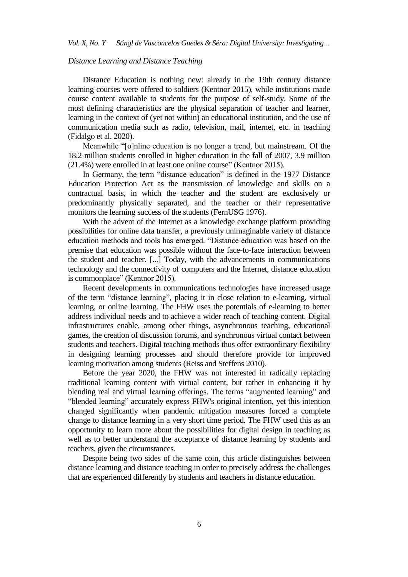## *Distance Learning and Distance Teaching*

Distance Education is nothing new: already in the 19th century distance learning courses were offered to soldiers (Kentnor 2015), while institutions made course content available to students for the purpose of self-study. Some of the most defining characteristics are the physical separation of teacher and learner, learning in the context of (yet not within) an educational institution, and the use of communication media such as radio, television, mail, internet, etc. in teaching (Fidalgo et al. 2020).

Meanwhile "[o]nline education is no longer a trend, but mainstream. Of the 18.2 million students enrolled in higher education in the fall of 2007, 3.9 million (21.4%) were enrolled in at least one online course" (Kentnor 2015).

In Germany, the term "distance education" is defined in the 1977 Distance Education Protection Act as the transmission of knowledge and skills on a contractual basis, in which the teacher and the student are exclusively or predominantly physically separated, and the teacher or their representative monitors the learning success of the students (FernUSG 1976).

With the advent of the Internet as a knowledge exchange platform providing possibilities for online data transfer, a previously unimaginable variety of distance education methods and tools has emerged. "Distance education was based on the premise that education was possible without the face-to-face interaction between the student and teacher. [...] Today, with the advancements in communications technology and the connectivity of computers and the Internet, distance education is commonplace" (Kentnor 2015).

Recent developments in communications technologies have increased usage of the term "distance learning", placing it in close relation to e-learning, virtual learning, or online learning. The FHW uses the potentials of e-learning to better address individual needs and to achieve a wider reach of teaching content. Digital infrastructures enable, among other things, asynchronous teaching, educational games, the creation of discussion forums, and synchronous virtual contact between students and teachers. Digital teaching methods thus offer extraordinary flexibility in designing learning processes and should therefore provide for improved learning motivation among students (Reiss and Steffens 2010).

Before the year 2020, the FHW was not interested in radically replacing traditional learning content with virtual content, but rather in enhancing it by blending real and virtual learning offerings. The terms "augmented learning" and "blended learning" accurately express FHW's original intention, yet this intention changed significantly when pandemic mitigation measures forced a complete change to distance learning in a very short time period. The FHW used this as an opportunity to learn more about the possibilities for digital design in teaching as well as to better understand the acceptance of distance learning by students and teachers, given the circumstances.

Despite being two sides of the same coin, this article distinguishes between distance learning and distance teaching in order to precisely address the challenges that are experienced differently by students and teachers in distance education.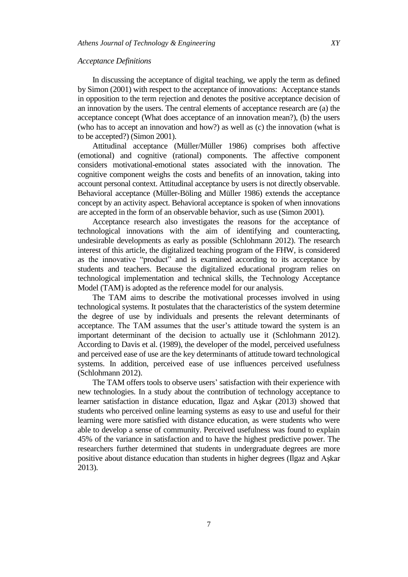# *Acceptance Definitions*

In discussing the acceptance of digital teaching, we apply the term as defined by Simon (2001) with respect to the acceptance of innovations: Acceptance stands in opposition to the term rejection and denotes the positive acceptance decision of an innovation by the users. The central elements of acceptance research are (a) the acceptance concept (What does acceptance of an innovation mean?), (b) the users (who has to accept an innovation and how?) as well as (c) the innovation (what is to be accepted?) (Simon 2001).

Attitudinal acceptance (Müller/Müller 1986) comprises both affective (emotional) and cognitive (rational) components. The affective component considers motivational-emotional states associated with the innovation. The cognitive component weighs the costs and benefits of an innovation, taking into account personal context. Attitudinal acceptance by users is not directly observable. Behavioral acceptance (Müller-Böling and Müller 1986) extends the acceptance concept by an activity aspect. Behavioral acceptance is spoken of when innovations are accepted in the form of an observable behavior, such as use (Simon 2001).

Acceptance research also investigates the reasons for the acceptance of technological innovations with the aim of identifying and counteracting, undesirable developments as early as possible (Schlohmann 2012). The research interest of this article, the digitalized teaching program of the FHW, is considered as the innovative "product" and is examined according to its acceptance by students and teachers. Because the digitalized educational program relies on technological implementation and technical skills, the Technology Acceptance Model (TAM) is adopted as the reference model for our analysis.

The TAM aims to describe the motivational processes involved in using technological systems. It postulates that the characteristics of the system determine the degree of use by individuals and presents the relevant determinants of acceptance. The TAM assumes that the user's attitude toward the system is an important determinant of the decision to actually use it (Schlohmann 2012). According to Davis et al. (1989), the developer of the model, perceived usefulness and perceived ease of use are the key determinants of attitude toward technological systems. In addition, perceived ease of use influences perceived usefulness (Schlohmann 2012).

The TAM offers tools to observe users' satisfaction with their experience with new technologies. In a study about the contribution of technology acceptance to learner satisfaction in distance education, Ilgaz and Aşkar (2013) showed that students who perceived online learning systems as easy to use and useful for their learning were more satisfied with distance education, as were students who were able to develop a sense of community. Perceived usefulness was found to explain 45% of the variance in satisfaction and to have the highest predictive power. The researchers further determined that students in undergraduate degrees are more positive about distance education than students in higher degrees (Ilgaz and Aşkar 2013).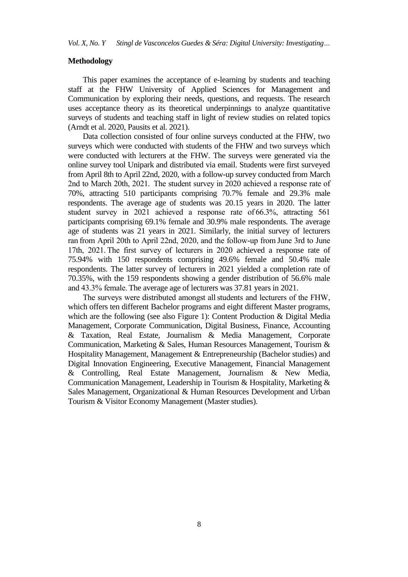# **Methodology**

This paper examines the acceptance of e-learning by students and teaching staff at the FHW University of Applied Sciences for Management and Communication by exploring their needs, questions, and requests. The research uses acceptance theory as its theoretical underpinnings to analyze quantitative surveys of students and teaching staff in light of review studies on related topics (Arndt et al. 2020, Pausits et al. 2021).

Data collection consisted of four online surveys conducted at the FHW, two surveys which were conducted with students of the FHW and two surveys which were conducted with lecturers at the FHW. The surveys were generated via the online survey tool Unipark and distributed via email. Students were first surveyed from April 8th to April 22nd, 2020, with a follow-up survey conducted from March 2nd to March 20th, 2021.  The student survey in 2020 achieved a response rate of 70%, attracting 510 participants comprising 70.7% female and 29.3% male respondents. The average age of students was 20.15 years in 2020. The latter student survey in 2021 achieved a response rate of 66.3%, attracting 561 participants comprising 69.1% female and 30.9% male respondents. The average age of students was 21 years in 2021. Similarly, the initial survey of lecturers ran from April 20th to April 22nd, 2020, and the follow-up from June 3rd to June 17th, 2021. The first survey of lecturers in 2020 achieved a response rate of 75.94% with 150 respondents comprising 49.6% female and 50.4% male respondents. The latter survey of lecturers in 2021 yielded a completion rate of 70.35%, with the 159 respondents showing a gender distribution of 56.6% male and 43.3% female. The average age of lecturers was 37.81 years in 2021.

The surveys were distributed amongst all students and lecturers of the FHW, which offers ten different Bachelor programs and eight different Master programs, which are the following (see also Figure 1): Content Production & Digital Media Management, Corporate Communication, Digital Business, Finance, Accounting & Taxation, Real Estate, Journalism & Media Management, Corporate Communication, Marketing & Sales, Human Resources Management, Tourism & Hospitality Management, Management & Entrepreneurship (Bachelor studies) and Digital Innovation Engineering, Executive Management, Financial Management & Controlling, Real Estate Management, Journalism & New Media, Communication Management, Leadership in Tourism & Hospitality, Marketing & Sales Management, Organizational & Human Resources Development and Urban Tourism & Visitor Economy Management (Master studies).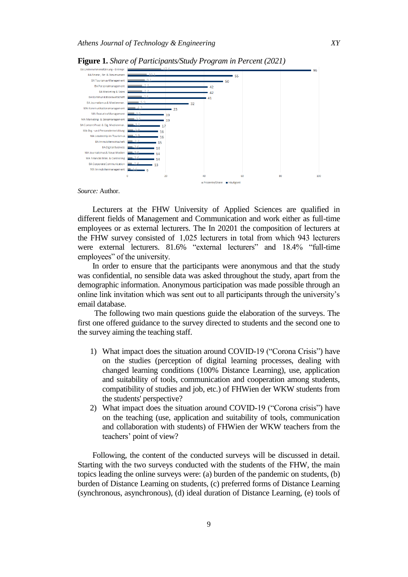

**Figure 1.** *Share of Participants/Study Program in Percent (2021)*

*Source:* Author.

Lecturers at the FHW University of Applied Sciences are qualified in different fields of Management and Communication and work either as full-time employees or as external lecturers. The In 20201 the composition of lecturers at the FHW survey consisted of  1,025 lecturers in total from which 943 lecturers were external lecturers. 81.6% "external lecturers" and 18.4% "full-time employees" of the university. 

In order to ensure that the participants were anonymous and that the study was confidential, no sensible data was asked throughout the study, apart from the demographic information. Anonymous participation was made possible through an online link invitation which was sent out to all participants through the university"s email database.

The following two main questions guide the elaboration of the surveys. The first one offered guidance to the survey directed to students and the second one to the survey aiming the teaching staff.

- 1) What impact does the situation around COVID-19 ("Corona Crisis") have on the studies (perception of digital learning processes, dealing with changed learning conditions (100% Distance Learning), use, application and suitability of tools, communication and cooperation among students, compatibility of studies and job, etc.) of FHWien der WKW students from the students' perspective?
- 2) What impact does the situation around COVID-19 ("Corona crisis") have on the teaching (use, application and suitability of tools, communication and collaboration with students) of FHWien der WKW teachers from the teachers' point of view?

Following, the content of the conducted surveys will be discussed in detail. Starting with the two surveys conducted with the students of the FHW, the main topics leading the online surveys were: (a) burden of the pandemic on students, (b) burden of Distance Learning on students, (c) preferred forms of Distance Learning (synchronous, asynchronous), (d) ideal duration of Distance Learning, (e) tools of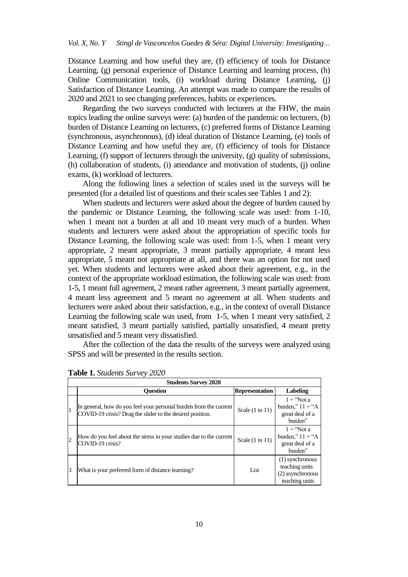Distance Learning and how useful they are, (f) efficiency of tools for Distance Learning, (g) personal experience of Distance Learning and learning process, (h) Online Communication tools, (i) workload during Distance Learning, (j) Satisfaction of Distance Learning. An attempt was made to compare the results of 2020 and 2021 to see changing preferences, habits or experiences.

Regarding the two surveys conducted with lecturers at the FHW, the main topics leading the online surveys were: (a) burden of the pandemic on lecturers, (b) burden of Distance Learning on lecturers, (c) preferred forms of Distance Learning (synchronous, asynchronous), (d) ideal duration of Distance Learning, (e) tools of Distance Learning and how useful they are, (f) efficiency of tools for Distance Learning, (f) support of lecturers through the university, (g) quality of submissions, (h) collaboration of students, (i) attendance and motivation of students, (j) online exams, (k) workload of lecturers.

Along the following lines a selection of scales used in the surveys will be presented (for a detailed list of questions and their scales see Tables 1 and 2):

When students and lecturers were asked about the degree of burden caused by the pandemic or Distance Learning, the following scale was used: from 1-10, when 1 meant not a burden at all and 10 meant very much of a burden. When students and lecturers were asked about the appropriation of specific tools for Distance Learning, the following scale was used: from 1-5, when 1 meant very appropriate, 2 meant appropriate, 3 meant partially appropriate, 4 meant less appropriate, 5 meant not appropriate at all, and there was an option for not used yet. When students and lecturers were asked about their agreement, e.g., in the context of the appropriate workload estimation, the following scale was used: from 1-5, 1 meant full agreement, 2 meant rather agreement, 3 meant partially agreement, 4 meant less agreement and 5 meant no agreement at all. When students and lecturers were asked about their satisfaction, e.g., in the context of overall Distance Learning the following scale was used, from 1-5, when 1 meant very satisfied, 2 meant satisfied, 3 meant partially satisfied, partially unsatisfied, 4 meant pretty unsatisfied and 5 meant very dissatisfied.

After the collection of the data the results of the surveys were analyzed using SPSS and will be presented in the results section.

| <b>Students Survey 2020</b> |                                                                                                                                |                            |                                                                          |
|-----------------------------|--------------------------------------------------------------------------------------------------------------------------------|----------------------------|--------------------------------------------------------------------------|
|                             | Ouestion                                                                                                                       | <b>Representation</b>      | Labeling                                                                 |
| 1                           | In general, how do you feel your personal burden from the current<br>COVID-19 crisis? Drag the slider to the desired position. | Scale $(1 \text{ to } 11)$ | $1 = \text{``Not a}$<br>burden," $11 = "A$<br>great deal of a<br>burden" |
| $\overline{2}$              | How do you feel about the stress in your studies due to the current<br>COVID-19 crisis?                                        | Scale $(1 \text{ to } 11)$ | $1 = \text{``Not a}$<br>burden," $11 = "A$<br>great deal of a<br>burden" |
| 3                           | What is your preferred form of distance learning?                                                                              | List                       | (1) synchronous<br>teaching units<br>(2) asynchronous<br>teaching units  |

**Table 1.** *Students Survey 2020*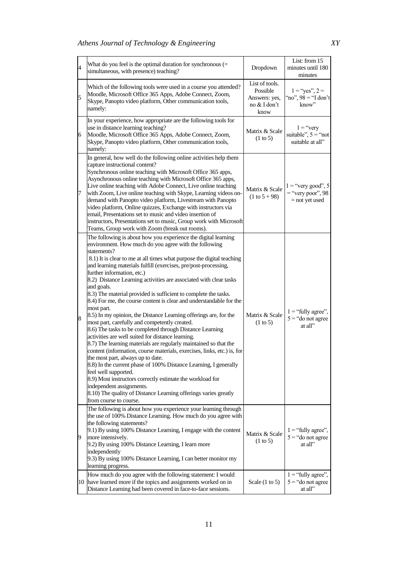| $\overline{\mathcal{A}}$ | What do you feel is the optimal duration for synchronous $(=$<br>simultaneous, with presence) teaching?                                                                                                                                                                                                                                                                                                                                                                                                                                                                                                                                                                                                                                                                                                                                                                                                                                                                                                                                                                                                                                                                                                                                                                 | Dropdown                                                            | List: from 15<br>minutes until 180<br>minutes                   |
|--------------------------|-------------------------------------------------------------------------------------------------------------------------------------------------------------------------------------------------------------------------------------------------------------------------------------------------------------------------------------------------------------------------------------------------------------------------------------------------------------------------------------------------------------------------------------------------------------------------------------------------------------------------------------------------------------------------------------------------------------------------------------------------------------------------------------------------------------------------------------------------------------------------------------------------------------------------------------------------------------------------------------------------------------------------------------------------------------------------------------------------------------------------------------------------------------------------------------------------------------------------------------------------------------------------|---------------------------------------------------------------------|-----------------------------------------------------------------|
| 5                        | Which of the following tools were used in a course you attended?<br>Moodle, Microsoft Office 365 Apps, Adobe Connect, Zoom,<br>Skype, Panopto video platform, Other communication tools,<br>namely:                                                                                                                                                                                                                                                                                                                                                                                                                                                                                                                                                                                                                                                                                                                                                                                                                                                                                                                                                                                                                                                                     | List of tools.<br>Possible<br>Answers: yes,<br>no & I don't<br>know | $1 = "yes", 2 =$<br>"no", $98 =$ "I don't<br>know"              |
| 6                        | In your experience, how appropriate are the following tools for<br>use in distance learning teaching?<br>Moodle, Microsoft Office 365 Apps, Adobe Connect, Zoom,<br>Skype, Panopto video platform, Other communication tools,<br>namely:                                                                                                                                                                                                                                                                                                                                                                                                                                                                                                                                                                                                                                                                                                                                                                                                                                                                                                                                                                                                                                | Matrix & Scale<br>$(1 \text{ to } 5)$                               | $1 = "very$<br>suitable", $5$ = "not<br>suitable at all"        |
| 7                        | In general, how well do the following online activities help them<br>capture instructional content?<br>Synchronous online teaching with Microsoft Office 365 apps,<br>Asynchronous online teaching with Microsoft Office 365 apps,<br>Live online teaching with Adobe Connect, Live online teaching<br>with Zoom, Live online teaching with Skype, Learning videos on-<br>demand with Panopto video platform, Livestream with Panopto<br>video platform, Online quizzes, Exchange with instructors via<br>email, Presentations set to music and video insertion of<br>instructors, Presentations set to music, Group work with Microsoft<br>Teams, Group work with Zoom (break out rooms).                                                                                                                                                                                                                                                                                                                                                                                                                                                                                                                                                                              | Matrix & Scale<br>$(1 to 5 + 98)$                                   | $1 =$ "very good", 5<br>$=$ "very poor", 98<br>$=$ not yet used |
| 8                        | The following is about how you experience the digital learning<br>environment. How much do you agree with the following<br>statements?<br>8.1) It is clear to me at all times what purpose the digital teaching<br>and learning materials fulfill (exercises, pre/post-processing,<br>further information, etc.)<br>8.2) Distance Learning activities are associated with clear tasks<br>and goals.<br>8.3) The material provided is sufficient to complete the tasks.<br>8.4) For me, the course content is clear and understandable for the<br>most part.<br>8.5) In my opinion, the Distance Learning offerings are, for the<br>most part, carefully and competently created.<br>8.6) The tasks to be completed through Distance Learning<br>activities are well suited for distance learning.<br>8.7) The learning materials are regularly maintained so that the<br>content (information, course materials, exercises, links, etc.) is, for<br>the most part, always up to date.<br>8.8) In the current phase of 100% Distance Learning, I generally<br>feel well supported.<br>8.9) Most instructors correctly estimate the workload for<br>independent assignments.<br>8.10) The quality of Distance Learning offerings varies greatly<br>from course to course. | Matrix & Scale<br>(1 to 5)                                          | $1 =$ "fully agree",<br>$5$ = "do not agree<br>at all"          |
| $\overline{9}$           | The following is about how you experience your learning through<br>the use of 100% Distance Learning. How much do you agree with<br>the following statements?<br>9.1) By using 100% Distance Learning, I engage with the content<br>more intensively.<br>9.2) By using 100% Distance Learning, I learn more<br>independently<br>9.3) By using 100% Distance Learning, I can better monitor my<br>learning progress.                                                                                                                                                                                                                                                                                                                                                                                                                                                                                                                                                                                                                                                                                                                                                                                                                                                     | Matrix & Scale<br>$(1 \text{ to } 5)$                               | $1 =$ "fully agree",<br>$5 =$ "do not agree<br>at all"          |
|                          | How much do you agree with the following statement: I would<br>10 have learned more if the topics and assignments worked on in<br>Distance Learning had been covered in face-to-face sessions.                                                                                                                                                                                                                                                                                                                                                                                                                                                                                                                                                                                                                                                                                                                                                                                                                                                                                                                                                                                                                                                                          | Scale $(1 \text{ to } 5)$                                           | $1 =$ "fully agree",<br>$5 =$ "do not agree<br>at all"          |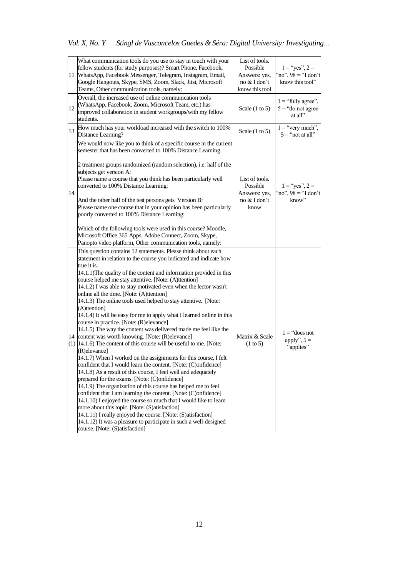|    | What communication tools do you use to stay in touch with your<br>fellow students (for study purposes)? Smart Phone, Facebook,<br>11 WhatsApp, Facebook Messenger, Telegram, Instagram, Email,<br>Google Hangouts, Skype, SMS, Zoom, Slack, Jitsi, Microsoft<br>Teams, Other communication tools, namely:                                                                                                                                                                                                                                                                                                                                                                                                                                                                                                                                                                                                                                                                                                                                                                                                                                                                                                                                                                                                                                                                                                                                                                                                           | List of tools.<br>Possible<br>Answers: yes,<br>no & I don't<br>know this tool | $1 = "yes", 2 =$<br>"no", $98 =$ "I don't<br>know this tool" |
|----|---------------------------------------------------------------------------------------------------------------------------------------------------------------------------------------------------------------------------------------------------------------------------------------------------------------------------------------------------------------------------------------------------------------------------------------------------------------------------------------------------------------------------------------------------------------------------------------------------------------------------------------------------------------------------------------------------------------------------------------------------------------------------------------------------------------------------------------------------------------------------------------------------------------------------------------------------------------------------------------------------------------------------------------------------------------------------------------------------------------------------------------------------------------------------------------------------------------------------------------------------------------------------------------------------------------------------------------------------------------------------------------------------------------------------------------------------------------------------------------------------------------------|-------------------------------------------------------------------------------|--------------------------------------------------------------|
| 12 | Overall, the increased use of online communication tools<br>(WhatsApp, Facebook, Zoom, Microsoft Team, etc.) has<br>improved collaboration in student workgroups/with my fellow<br>students.                                                                                                                                                                                                                                                                                                                                                                                                                                                                                                                                                                                                                                                                                                                                                                                                                                                                                                                                                                                                                                                                                                                                                                                                                                                                                                                        | Scale $(1 \text{ to } 5)$                                                     | $1$ = "fully agree",<br>$5$ = "do not agree<br>at all"       |
|    | 13 How much has your workload increased with the switch to 100%<br>Distance Learning?                                                                                                                                                                                                                                                                                                                                                                                                                                                                                                                                                                                                                                                                                                                                                                                                                                                                                                                                                                                                                                                                                                                                                                                                                                                                                                                                                                                                                               | Scale $(1 \text{ to } 5)$                                                     | $1 = "very much",$<br>$5$ = "not at all"                     |
| 14 | We would now like you to think of a specific course in the current<br>semester that has been converted to 100% Distance Learning.<br>2 treatment groups randomized (random selection), i.e. half of the<br>subjects get version A:<br>Please name a course that you think has been particularly well<br>converted to 100% Distance Learning:<br>And the other half of the test persons gets Version B:<br>Please name one course that in your opinion has been particularly<br>poorly converted to 100% Distance Learning:<br>Which of the following tools were used in this course? Moodle,<br>Microsoft Office 365 Apps, Adobe Connect, Zoom, Skype,<br>Panopto video platform, Other communication tools, namely:                                                                                                                                                                                                                                                                                                                                                                                                                                                                                                                                                                                                                                                                                                                                                                                                | List of tools.<br>Possible<br>Answers: yes,<br>no & I don't<br>know           | $1 =$ "yes", $2 =$<br>"no", $98 =$ "I don't<br>know"         |
|    | This question contains 12 statements. Please think about each<br>statement in relation to the course you indicated and indicate how<br>true it is.<br>14.1.1) The quality of the content and information provided in this<br>course helped me stay attentive. [Note: (A)ttention]<br>14.1.2) I was able to stay motivated even when the lector wasn't<br>online all the time. [Note: (A)ttention]<br>14.1.3) The online tools used helped to stay attentive. [Note:<br>(A)ttention]<br>14.1.4) It will be easy for me to apply what I learned online in this<br>course in practice. [Note: (R) elevance]<br>14.1.5) The way the content was delivered made me feel like the<br>14 content was worth knowing. [Note: (R) elevance]<br>$(1)$ [14.1.6) The content of this course will be useful to me. [Note:<br>(R) elevance]<br>14.1.7) When I worked on the assignments for this course, I felt<br>confident that I would learn the content. [Note: (C)onfidence]<br>14.1.8) As a result of this course, I feel well and adequately<br>prepared for the exams. [Note: (C)onfidence]<br>14.1.9) The organization of this course has helped me to feel<br>confident that I am learning the content. [Note: (C)onfidence]<br>14.1.10) I enjoyed the course so much that I would like to learn<br>more about this topic. [Note: (S)atisfaction]<br>14.1.11) I really enjoyed the course. [Note: (S)atisfaction]<br>14.1.12) It was a pleasure to participate in such a well-designed<br>course. [Note: (S)atisfaction] | Matrix & Scale<br>$(1 \text{ to } 5)$                                         | $1 = "does not$<br>apply", $5 =$<br>"applies"                |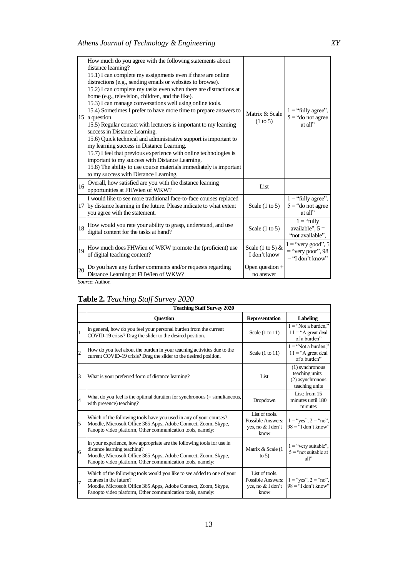|    | How much do you agree with the following statements about<br>distance learning?<br>15.1) I can complete my assignments even if there are online<br>distractions (e.g., sending emails or websites to browse).<br>15.2) I can complete my tasks even when there are distractions at<br>home (e.g., television, children, and the like).<br>15.3) I can manage conversations well using online tools.<br>15.4) Sometimes I prefer to have more time to prepare answers to<br>15 a question.<br>15.5) Regular contact with lecturers is important to my learning<br>success in Distance Learning.<br>15.6) Quick technical and administrative support is important to<br>my learning success in Distance Learning.<br>15.7) I feel that previous experience with online technologies is<br>important to my success with Distance Learning.<br>15.8) The ability to use course materials immediately is important<br>to my success with Distance Learning. | Matrix & Scale<br>$(1 \text{ to } 5)$ | $1 =$ "fully agree",<br>$5 =$ "do not agree<br>at all"            |
|----|--------------------------------------------------------------------------------------------------------------------------------------------------------------------------------------------------------------------------------------------------------------------------------------------------------------------------------------------------------------------------------------------------------------------------------------------------------------------------------------------------------------------------------------------------------------------------------------------------------------------------------------------------------------------------------------------------------------------------------------------------------------------------------------------------------------------------------------------------------------------------------------------------------------------------------------------------------|---------------------------------------|-------------------------------------------------------------------|
| 16 | Overall, how satisfied are you with the distance learning<br>opportunities at FHWien of WKW?                                                                                                                                                                                                                                                                                                                                                                                                                                                                                                                                                                                                                                                                                                                                                                                                                                                           | List                                  |                                                                   |
|    | I would like to see more traditional face-to-face courses replaced<br>17 by distance learning in the future. Please indicate to what extent<br>you agree with the statement.                                                                                                                                                                                                                                                                                                                                                                                                                                                                                                                                                                                                                                                                                                                                                                           | Scale $(1 \text{ to } 5)$             | $1 =$ "fully agree",<br>$5 =$ "do not agree<br>at all"            |
| 18 | How would you rate your ability to grasp, understand, and use<br>digital content for the tasks at hand?                                                                                                                                                                                                                                                                                                                                                                                                                                                                                                                                                                                                                                                                                                                                                                                                                                                | Scale $(1 \text{ to } 5)$             | $1 = "fully$<br>available", $5 =$<br>"not available",             |
|    | 19 How much does FHWien of WKW promote the (proficient) use<br>of digital teaching content?                                                                                                                                                                                                                                                                                                                                                                                                                                                                                                                                                                                                                                                                                                                                                                                                                                                            | Scale (1 to 5) $&$<br>I don't know    | $1 =$ "very good", 5<br>$=$ "very poor", 98<br>$=$ "I don't know" |
| 20 | Do you have any further comments and/or requests regarding<br>Distance Learning at FHWien of WKW?                                                                                                                                                                                                                                                                                                                                                                                                                                                                                                                                                                                                                                                                                                                                                                                                                                                      | Open question $+$<br>no answer        |                                                                   |
|    | Source: Author.                                                                                                                                                                                                                                                                                                                                                                                                                                                                                                                                                                                                                                                                                                                                                                                                                                                                                                                                        |                                       |                                                                   |

# **Table 2.** *Teaching Staff Survey 2020*

|                         | <b>Teaching Staff Survey 2020</b>                                                                                                                                                                                                     |                                                                         |                                                                         |  |
|-------------------------|---------------------------------------------------------------------------------------------------------------------------------------------------------------------------------------------------------------------------------------|-------------------------------------------------------------------------|-------------------------------------------------------------------------|--|
|                         | <b>Ouestion</b>                                                                                                                                                                                                                       | <b>Representation</b>                                                   | <b>Labeling</b>                                                         |  |
| 1                       | In general, how do you feel your personal burden from the current<br>COVID-19 crisis? Drag the slider to the desired position.                                                                                                        | Scale $(1 \text{ to } 11)$                                              | $1 = "Not a burden."$<br>$11 = "A great deal$<br>of a burden"           |  |
| $\overline{c}$          | How do you feel about the burden in your teaching activities due to the<br>current COVID-19 crisis? Drag the slider to the desired position.                                                                                          | Scale $(1 \text{ to } 11)$                                              | $1 = "Not a burden."$<br>$11 = "A great deal$<br>of a burden"           |  |
| 3                       | What is your preferred form of distance learning?                                                                                                                                                                                     | List                                                                    | (1) synchronous<br>teaching units<br>(2) asynchronous<br>teaching units |  |
| $\overline{\mathbf{4}}$ | What do you feel is the optimal duration for synchronous $(=\sin(10.000)(10.0000000))$<br>with presence) teaching?                                                                                                                    | Dropdown                                                                | List: from 15<br>minutes until 180<br>minutes                           |  |
| 5                       | Which of the following tools have you used in any of your courses?<br>Moodle, Microsoft Office 365 Apps, Adobe Connect, Zoom, Skype,<br>Panopto video platform, Other communication tools, namely:                                    | List of tools.<br><b>Possible Answers:</b><br>yes, no & I don't<br>know | $1 = "yes", 2 = "no",$<br>$98 =$ "I don't know"                         |  |
| 6                       | In your experience, how appropriate are the following tools for use in<br>distance learning teaching?<br>Moodle, Microsoft Office 365 Apps, Adobe Connect, Zoom, Skype,<br>Panopto video platform, Other communication tools, namely: | Matrix & Scale (1<br>to $5)$                                            | $1 =$ "very suitable",<br>$5$ = "not suitable at<br>all                 |  |
| 7                       | Which of the following tools would you like to see added to one of your<br>courses in the future?<br>Moodle, Microsoft Office 365 Apps, Adobe Connect, Zoom, Skype,<br>Panopto video platform, Other communication tools, namely:     | List of tools.<br><b>Possible Answers:</b><br>yes, no & I don't<br>know | $1 = "yes", 2 = "no",$<br>$98 =$ "I don't know"                         |  |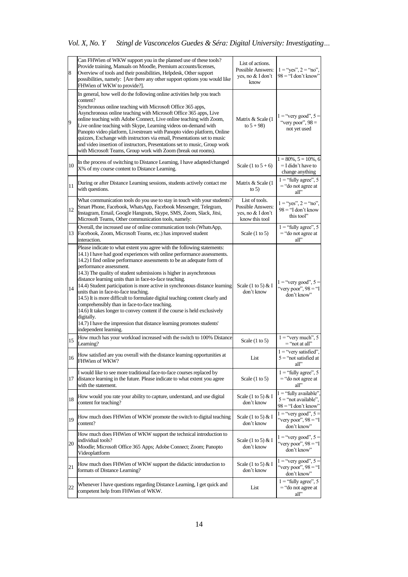*Vol. X, No. Y Stingl de Vasconcelos Guedes & Séra: Digital University: Investigating…*

| 8  | Can FHWien of WKW support you in the planned use of these tools?<br>Provide training, Manuals on Moodle, Premium accounts/licenses,<br>Overview of tools and their possibilities, Helpdesk, Other support                                                                                                                                                                                                                                                                                                                                                                                                                                                                                                                                                                                                                                  | List of actions.<br><b>Possible Answers:</b><br>yes, no & I don't                 | $1 = "yes", 2 = "no",$<br>$98 =$ "I don't know"                             |
|----|--------------------------------------------------------------------------------------------------------------------------------------------------------------------------------------------------------------------------------------------------------------------------------------------------------------------------------------------------------------------------------------------------------------------------------------------------------------------------------------------------------------------------------------------------------------------------------------------------------------------------------------------------------------------------------------------------------------------------------------------------------------------------------------------------------------------------------------------|-----------------------------------------------------------------------------------|-----------------------------------------------------------------------------|
|    | possibilities, namely: [Are there any other support options you would like<br>FHWien of WKW to provide?].                                                                                                                                                                                                                                                                                                                                                                                                                                                                                                                                                                                                                                                                                                                                  | know                                                                              |                                                                             |
| 9  | In general, how well do the following online activities help you teach<br>content?<br>Synchronous online teaching with Microsoft Office 365 apps,<br>Asynchronous online teaching with Microsoft Office 365 apps, Live<br>online teaching with Adobe Connect, Live online teaching with Zoom,<br>Live online teaching with Skype, Learning videos on-demand with<br>Panopto video platform, Livestream with Panopto video platform, Online<br>quizzes, Exchange with instructors via email, Presentations set to music<br>and video insertion of instructors, Presentations set to music, Group work<br>with Microsoft Teams, Group work with Zoom (break out rooms).                                                                                                                                                                      | Matrix & Scale (1<br>to $5 + 98$ )                                                | $1 =$ "very good", $5 =$<br>"very poor", $98 =$<br>not yet used             |
| 10 | In the process of switching to Distance Learning, I have adapted/changed<br>X% of my course content to Distance Learning.                                                                                                                                                                                                                                                                                                                                                                                                                                                                                                                                                                                                                                                                                                                  | Scale $(1 \text{ to } 5 + 6)$                                                     | $1 = 80\%, 5 = 10\%, 6$<br>$=$ I didn't have to<br>change anything          |
| 11 | During or after Distance Learning sessions, students actively contact me<br>with questions.                                                                                                                                                                                                                                                                                                                                                                                                                                                                                                                                                                                                                                                                                                                                                | Matrix & Scale (1)<br>to $5)$                                                     | $1 =$ "fully agree", 5<br>$=$ "do not agree at<br>all"                      |
| 12 | What communication tools do you use to stay in touch with your students?<br>Smart Phone, Facebook, WhatsApp, Facebook Messenger, Telegram,<br>Instagram, Email, Google Hangouts, Skype, SMS, Zoom, Slack, Jitsi,<br>Microsoft Teams, Other communication tools, namely:                                                                                                                                                                                                                                                                                                                                                                                                                                                                                                                                                                    | List of tools.<br><b>Possible Answers:</b><br>yes, no & I don't<br>know this tool | $1 = "yes", 2 = "no",$<br>$98 =$ "I don't know<br>this tool"                |
| 13 | Overall, the increased use of online communication tools (WhatsApp,<br>Facebook, Zoom, Microsoft Teams, etc.) has improved student<br>interaction.                                                                                                                                                                                                                                                                                                                                                                                                                                                                                                                                                                                                                                                                                         | Scale $(1 \text{ to } 5)$                                                         | $1 =$ "fully agree", 5<br>$=$ "do not agree at<br>all"                      |
| 14 | Please indicate to what extent you agree with the following statements:<br>14.1) I have had good experiences with online performance assessments.<br>14.2) I find online performance assessments to be an adequate form of<br>performance assessment.<br>14.3) The quality of student submissions is higher in asynchronous<br>distance learning units than in face-to-face teaching.<br>14.4) Student participation is more active in synchronous distance learning<br>units than in face-to-face teaching.<br>14.5) It is more difficult to formulate digital teaching content clearly and<br>comprehensibly than in face-to-face teaching.<br>14.6) It takes longer to convey content if the course is held exclusively<br>digitally.<br>14.7) I have the impression that distance learning promotes students'<br>independent learning. | Scale $(1 \text{ to } 5) \& I$<br>don't know                                      | $1 =$ "very good", $5 =$<br>"very poor", $98 =$ "I<br>don't know"           |
| 15 | How much has your workload increased with the switch to 100% Distance<br>Learning?                                                                                                                                                                                                                                                                                                                                                                                                                                                                                                                                                                                                                                                                                                                                                         | Scale $(1 \text{ to } 5)$                                                         | $\overline{1}$ = "very much", 5<br>= "not at all"                           |
| 16 | How satisfied are you overall with the distance learning opportunities at<br>FHWien of WKW?                                                                                                                                                                                                                                                                                                                                                                                                                                                                                                                                                                                                                                                                                                                                                | List                                                                              | $1 =$ "very satisfied".<br>$5$ = "not satisfied at<br>all"                  |
| 17 | I would like to see more traditional face-to-face courses replaced by<br>distance learning in the future. Please indicate to what extent you agree<br>with the statement.                                                                                                                                                                                                                                                                                                                                                                                                                                                                                                                                                                                                                                                                  | Scale $(1 \text{ to } 5)$                                                         | $1 =$ "fully agree", 5<br>$=$ "do not agree at<br>all"                      |
| 18 | How would you rate your ability to capture, understand, and use digital<br>content for teaching?                                                                                                                                                                                                                                                                                                                                                                                                                                                                                                                                                                                                                                                                                                                                           | Scale $(1 \text{ to } 5) \& I$<br>don't know                                      | $1 =$ "fully available",<br>$5$ = "not available".<br>$98 =$ "I don't know" |
| 19 | How much does FHWien of WKW promote the switch to digital teaching<br>content?                                                                                                                                                                                                                                                                                                                                                                                                                                                                                                                                                                                                                                                                                                                                                             | Scale $(1 \text{ to } 5) \& I$<br>don't know                                      | $1 =$ "very good", $5 =$<br>"very poor", $98 =$ "I<br>don't know"           |
| 20 | How much does FHWien of WKW support the technical introduction to<br>individual tools?<br>Moodle; Microsoft Office 365 Apps; Adobe Connect; Zoom; Panopto<br>Videoplattform                                                                                                                                                                                                                                                                                                                                                                                                                                                                                                                                                                                                                                                                | Scale $(1 \text{ to } 5) \& I$<br>don't know                                      | $1 =$ "very good", 5 =<br>"very poor", $98 =$ "I<br>don't know"             |
| 21 | How much does FHWien of WKW support the didactic introduction to<br>formats of Distance Learning?                                                                                                                                                                                                                                                                                                                                                                                                                                                                                                                                                                                                                                                                                                                                          | Scale $(1 \text{ to } 5) \& I$<br>don't know                                      | $1 =$ "very good", $5 =$<br>"very poor", $98 =$ "I<br>don't know"           |
| 22 | Whenever I have questions regarding Distance Learning, I get quick and<br>competent help from FHWien of WKW.                                                                                                                                                                                                                                                                                                                                                                                                                                                                                                                                                                                                                                                                                                                               | List                                                                              | $1 =$ "fully agree", 5<br>$=$ "do not agree at<br>all"                      |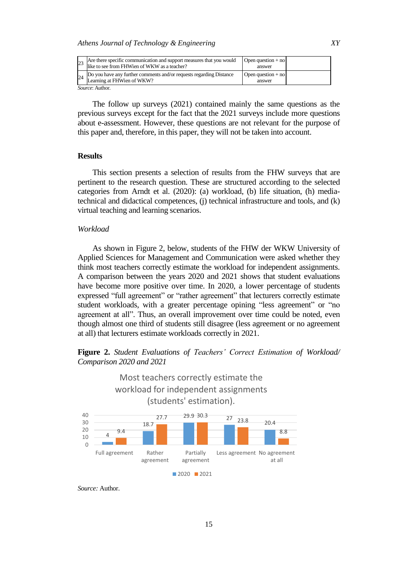| 23              | Are there specific communication and support measures that you would<br>like to see from FHWien of WKW as a teacher? | Open question $+$ no<br>answer |  |
|-----------------|----------------------------------------------------------------------------------------------------------------------|--------------------------------|--|
|                 | Do you have any further comments and/or requests regarding Distance<br>Learning at FHWien of WKW?                    | Open question $+$ no<br>answer |  |
| Source: Author. |                                                                                                                      |                                |  |

The follow up surveys (2021) contained mainly the same questions as the previous surveys except for the fact that the 2021 surveys include more questions about e-assessment. However, these questions are not relevant for the purpose of this paper and, therefore, in this paper, they will not be taken into account.

# **Results**

This section presents a selection of results from the FHW surveys that are pertinent to the research question. These are structured according to the selected categories from Arndt et al. (2020): (a) workload, (b) life situation, (h) mediatechnical and didactical competences, (j) technical infrastructure and tools, and (k) virtual teaching and learning scenarios.

# *Workload*

As shown in Figure 2, below, students of the FHW der WKW University of Applied Sciences for Management and Communication were asked whether they think most teachers correctly estimate the workload for independent assignments. A comparison between the years 2020 and 2021 shows that student evaluations have become more positive over time. In 2020, a lower percentage of students expressed "full agreement" or "rather agreement" that lecturers correctly estimate student workloads, with a greater percentage opining "less agreement" or "no agreement at all". Thus, an overall improvement over time could be noted, even though almost one third of students still disagree (less agreement or no agreement at all) that lecturers estimate workloads correctly in 2021.

# **Figure 2.** *Student Evaluations of Teachers' Correct Estimation of Workload/ Comparison 2020 and 2021*



*Source:* Author.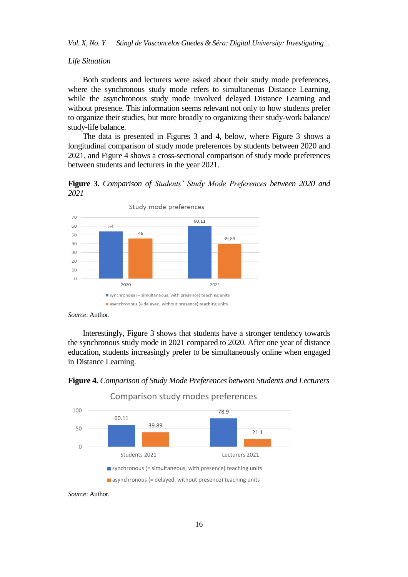*Vol. X, No. Y Stingl de Vasconcelos Guedes & Séra: Digital University: Investigating…*

# *Life Situation*

Both students and lecturers were asked about their study mode preferences, where the synchronous study mode refers to simultaneous Distance Learning, while the asynchronous study mode involved delayed Distance Learning and without presence. This information seems relevant not only to how students prefer to organize their studies, but more broadly to organizing their study-work balance/ study-life balance.

The data is presented in Figures 3 and 4, below, where Figure 3 shows a longitudinal comparison of study mode preferences by students between 2020 and 2021, and Figure 4 shows a cross-sectional comparison of study mode preferences between students and lecturers in the year 2021.

**Figure 3.** *Comparison of Students' Study Mode Preferences between 2020 and 2021*





Interestingly, Figure 3 shows that students have a stronger tendency towards the synchronous study mode in 2021 compared to 2020. After one year of distance education, students increasingly prefer to be simultaneously online when engaged in Distance Learning.





*Source*: Author.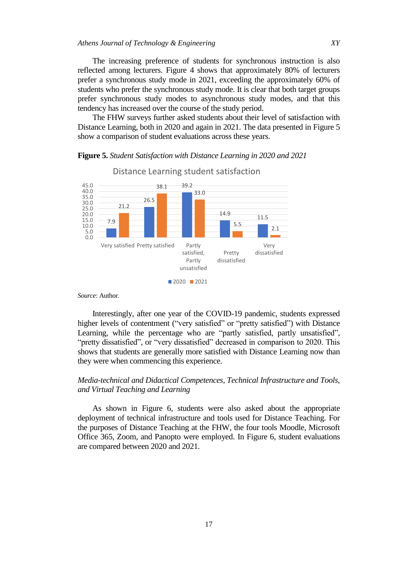The increasing preference of students for synchronous instruction is also reflected among lecturers. Figure 4 shows that approximately 80% of lecturers prefer a synchronous study mode in 2021, exceeding the approximately 60% of students who prefer the synchronous study mode. It is clear that both target groups prefer synchronous study modes to asynchronous study modes, and that this tendency has increased over the course of the study period.

The FHW surveys further asked students about their level of satisfaction with Distance Learning, both in 2020 and again in 2021. The data presented in Figure 5 show a comparison of student evaluations across these years.

#### 7.9 26.5 39.2 14.9 11.5 21.2 38.1 33.0  $5.5$  2.1 0.0 5.0 10.0 15.0 20.0 25.0 30.0 35.0 40.0 45.0 Very satisfied Pretty satisfied Partly satisfied, Partly unsatisfied Pretty dissatisfied Very dissatisfied Distance Learning student satisfaction ■2020 2021

# **Figure 5.** *Student Satisfaction with Distance Learning in 2020 and 2021*

*Source*: Author.

Interestingly, after one year of the COVID-19 pandemic, students expressed higher levels of contentment ("very satisfied" or "pretty satisfied") with Distance Learning, while the percentage who are "partly satisfied, partly unsatisfied", "pretty dissatisfied", or "very dissatisfied" decreased in comparison to 2020. This shows that students are generally more satisfied with Distance Learning now than they were when commencing this experience.

# *Media-technical and Didactical Competences, Technical Infrastructure and Tools, and Virtual Teaching and Learning*

As shown in Figure 6, students were also asked about the appropriate deployment of technical infrastructure and tools used for Distance Teaching. For the purposes of Distance Teaching at the FHW, the four tools Moodle, Microsoft Office 365, Zoom, and Panopto were employed. In Figure 6, student evaluations are compared between 2020 and 2021.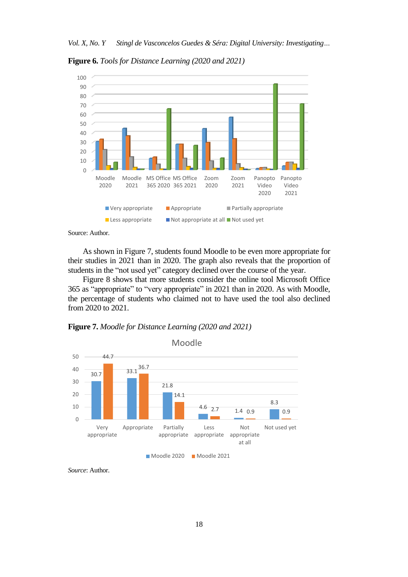**Figure 6.** *Tools for Distance Learning (2020 and 2021)*



Source: Author.

As shown in Figure 7, students found Moodle to be even more appropriate for their studies in 2021 than in 2020. The graph also reveals that the proportion of students in the "not used yet" category declined over the course of the year.

Figure 8 shows that more students consider the online tool Microsoft Office 365 as "appropriate" to "very appropriate" in 2021 than in 2020. As with Moodle, the percentage of students who claimed not to have used the tool also declined from 2020 to 2021.

**Figure 7.** *Moodle for Distance Learning (2020 and 2021)*



*Source*: Author.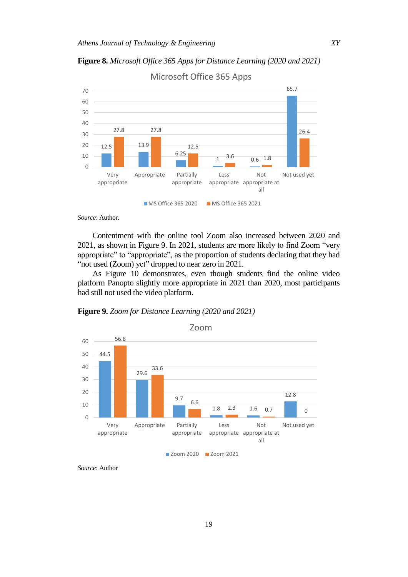**Figure 8.** *Microsoft Office 365 Apps for Distance Learning (2020 and 2021)*



*Source*: Author.

Contentment with the online tool Zoom also increased between 2020 and 2021, as shown in Figure 9. In 2021, students are more likely to find Zoom "very appropriate" to "appropriate", as the proportion of students declaring that they had "not used (Zoom) yet" dropped to near zero in 2021.

As Figure 10 demonstrates, even though students find the online video platform Panopto slightly more appropriate in 2021 than 2020, most participants had still not used the video platform.

**Figure 9.** *Zoom for Distance Learning (2020 and 2021)*



■ Zoom 2020 ■ Zoom 2021

*Source*: Author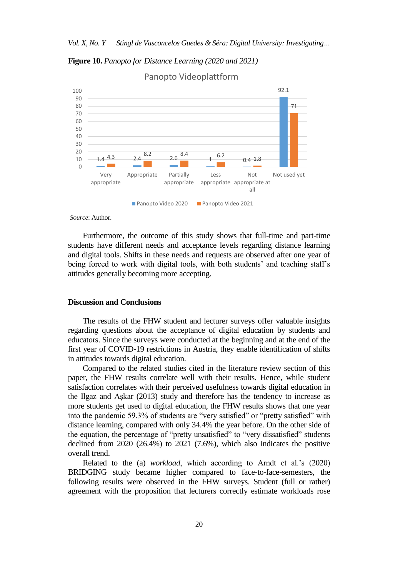**Figure 10.** *Panopto for Distance Learning (2020 and 2021)*



Panopto Videoplattform

*Source*: Author.

Furthermore, the outcome of this study shows that full-time and part-time students have different needs and acceptance levels regarding distance learning and digital tools. Shifts in these needs and requests are observed after one year of being forced to work with digital tools, with both students' and teaching staff's attitudes generally becoming more accepting.

#### **Discussion and Conclusions**

The results of the FHW student and lecturer surveys offer valuable insights regarding questions about the acceptance of digital education by students and educators. Since the surveys were conducted at the beginning and at the end of the first year of COVID-19 restrictions in Austria, they enable identification of shifts in attitudes towards digital education.

Compared to the related studies cited in the literature review section of this paper, the FHW results correlate well with their results. Hence, while student satisfaction correlates with their perceived usefulness towards digital education in the Ilgaz and Aşkar (2013) study and therefore has the tendency to increase as more students get used to digital education, the FHW results shows that one year into the pandemic 59.3% of students are "very satisfied" or "pretty satisfied" with distance learning, compared with only 34.4% the year before. On the other side of the equation, the percentage of "pretty unsatisfied" to "very dissatisfied" students declined from 2020 (26.4%) to 2021 (7.6%), which also indicates the positive overall trend.

Related to the (a) *workload*, which according to Arndt et al.'s (2020) BRIDGING study became higher compared to face-to-face-semesters, the following results were observed in the FHW surveys. Student (full or rather) agreement with the proposition that lecturers correctly estimate workloads rose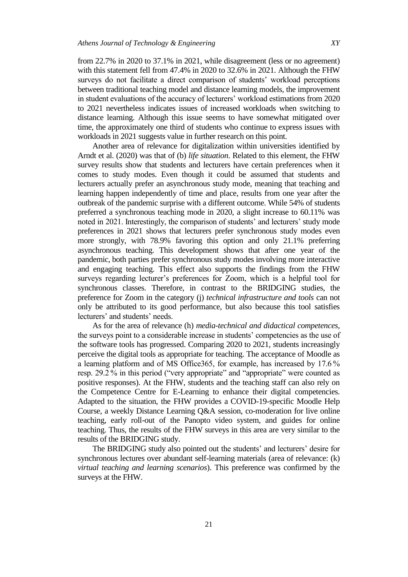from 22.7% in 2020 to 37.1% in 2021, while disagreement (less or no agreement) with this statement fell from 47.4% in 2020 to 32.6% in 2021. Although the FHW surveys do not facilitate a direct comparison of students' workload perceptions between traditional teaching model and distance learning models, the improvement in student evaluations of the accuracy of lecturers" workload estimations from 2020 to 2021 nevertheless indicates issues of increased workloads when switching to distance learning. Although this issue seems to have somewhat mitigated over time, the approximately one third of students who continue to express issues with workloads in 2021 suggests value in further research on this point.

Another area of relevance for digitalization within universities identified by Arndt et al. (2020) was that of (b) *life situation*. Related to this element, the FHW survey results show that students and lecturers have certain preferences when it comes to study modes. Even though it could be assumed that students and lecturers actually prefer an asynchronous study mode, meaning that teaching and learning happen independently of time and place, results from one year after the outbreak of the pandemic surprise with a different outcome. While 54% of students preferred a synchronous teaching mode in 2020, a slight increase to 60.11% was noted in 2021. Interestingly, the comparison of students' and lecturers' study mode preferences in 2021 shows that lecturers prefer synchronous study modes even more strongly, with 78.9% favoring this option and only 21.1% preferring asynchronous teaching. This development shows that after one year of the pandemic, both parties prefer synchronous study modes involving more interactive and engaging teaching. This effect also supports the findings from the FHW surveys regarding lecturer"s preferences for Zoom, which is a helpful tool for synchronous classes. Therefore, in contrast to the BRIDGING studies, the preference for Zoom in the category (j) *technical infrastructure and tools* can not only be attributed to its good performance, but also because this tool satisfies lecturers' and students' needs.

As for the area of relevance (h) *media-technical and didactical competences*, the surveys point to a considerable increase in students" competencies as the use of the software tools has progressed. Comparing 2020 to 2021, students increasingly perceive the digital tools as appropriate for teaching. The acceptance of Moodle as a learning platform and of MS Office365, for example, has increased by 17.6 % resp. 29.2 % in this period ("very appropriate" and "appropriate" were counted as positive responses). At the FHW, students and the teaching staff can also rely on the Competence Centre for E-Learning to enhance their digital competencies. Adapted to the situation, the FHW provides a COVID-19-specific Moodle Help Course, a weekly Distance Learning Q&A session, co-moderation for live online teaching, early roll-out of the Panopto video system, and guides for online teaching. Thus, the results of the FHW surveys in this area are very similar to the results of the BRIDGING study.

The BRIDGING study also pointed out the students' and lecturers' desire for synchronous lectures over abundant self-learning materials (area of relevance: (k) *virtual teaching and learning scenarios*). This preference was confirmed by the surveys at the FHW.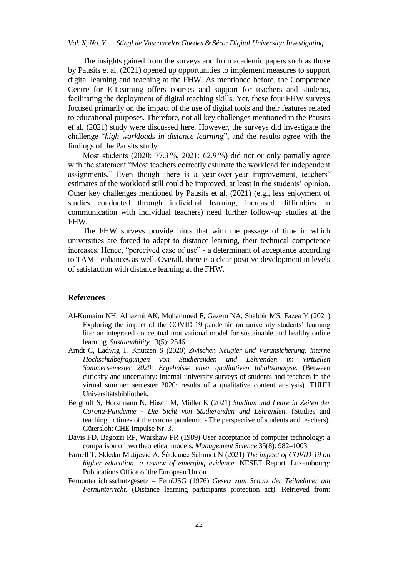The insights gained from the surveys and from academic papers such as those by Pausits et al. (2021) opened up opportunities to implement measures to support digital learning and teaching at the FHW. As mentioned before, the Competence Centre for E-Learning offers courses and support for teachers and students, facilitating the deployment of digital teaching skills. Yet, these four FHW surveys focused primarily on the impact of the use of digital tools and their features related to educational purposes. Therefore, not all key challenges mentioned in the Pausits et al. (2021) study were discussed here. However, the surveys did investigate the challenge "*high workloads in distance learnin*g", and the results agree with the findings of the Pausits study:

Most students (2020: 77.3 %, 2021: 62.9 %) did not or only partially agree with the statement "Most teachers correctly estimate the workload for independent assignments." Even though there is a year-over-year improvement, teachers' estimates of the workload still could be improved, at least in the students' opinion. Other key challenges mentioned by Pausits et al. (2021) (e.g., less enjoyment of studies conducted through individual learning, increased difficulties in communication with individual teachers) need further follow-up studies at the FHW.

The FHW surveys provide hints that with the passage of time in which universities are forced to adapt to distance learning, their technical competence increases. Hence, "perceived ease of use" - a determinant of acceptance according to TAM - enhances as well. Overall, there is a clear positive development in levels of satisfaction with distance learning at the FHW.

#### **References**

- Al-Kumaim NH, Alhazmi AK, Mohammed F, Gazem NA, Shabbir MS, Fazea Y (2021) Exploring the impact of the COVID-19 pandemic on university students' learning life: an integrated conceptual motivational model for sustainable and healthy online learning. *Sustainability* 13(5): 2546.
- Arndt C, Ladwig T, Knutzen S (2020) *Zwischen Neugier und Verunsicherung: interne Hochschulbefragungen von Studierenden und Lehrenden im virtuellen Sommersemester 2020: Ergebnisse einer qualitativen Inhaltsanalyse*. (Between curiosity and uncertainty: internal university surveys of students and teachers in the virtual summer semester 2020: results of a qualitative content analysis). TUHH Universitätsbibliothek.
- Berghoff S, Horstmann N, Hüsch M, Müller K (2021) *Studium und Lehre in Zeiten der Corona-Pandemie - Die Sicht von Studierenden und Lehrenden*. (Studies and teaching in times of the corona pandemic - The perspective of students and teachers). Gütersloh: CHE Impulse Nr. 3.
- Davis FD, Bagozzi RP, Warshaw PR (1989) User acceptance of computer technology: a comparison of two theoretical models. *Management Science* 35(8): 982–1003.
- Farnell T, Skledar Matijević A, Šćukanec Schmidt N (2021) *The impact of COVID-19 on higher education: a review of emerging evidence*. NESET Report. Luxembourg: Publications Office of the European Union.
- Fernunterrichtsschutzgesetz FernUSG (1976) *Gesetz zum Schutz der Teilnehmer am Fernunterricht*. (Distance learning participants protection act). Retrieved from: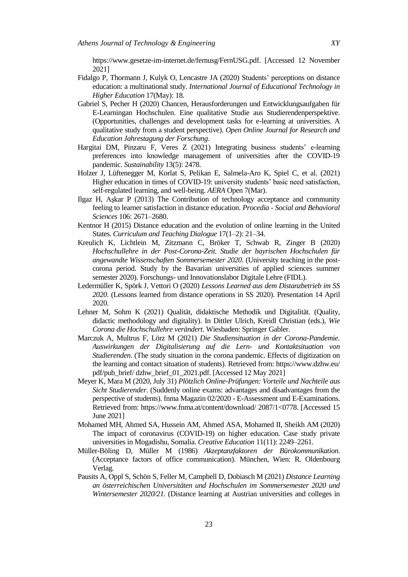[https://www.gesetze-im-internet.de/fernusg/FernUSG.pdf.](https://www.gesetze-im-internet.de/fernusg/FernUSG.pdf) [Accessed 12 November 2021]

- Fidalgo P, Thormann J, Kulyk O, Lencastre JA (2020) Students" perceptions on distance education: a multinational study. *International Journal of Educational Technology in Higher Education* 17(May): 18.
- Gabriel S, Pecher H (2020) Chancen, Herausforderungen und Entwicklungsaufgaben für E-Learningan Hochschulen. Eine qualitative Studie aus Studierendenperspektive. (Opportunities, challenges and development tasks for e-learning at universities. A qualitative study from a student perspective). *Open Online Journal for Research and Education Jahrestagung der Forschung*.
- Hargitai DM, Pinzaru F, Veres Z (2021) Integrating business students" e-learning preferences into knowledge management of universities after the COVID-19 pandemic. *Sustainability* 13(5): 2478.
- Holzer J, Lüftenegger M, Korlat S, Pelikan E, Salmela-Aro K, Spiel C, et al. (2021) Higher education in times of COVID-19: university students' basic need satisfaction, self-regulated learning, and well-being. *AERA* Open 7(Mar).
- Ilgaz H, Aşkar P (2013) The Contribution of technology acceptance and community feeling to learner satisfaction in distance education. *Procedia - Social and Behavioral Sciences* 106: 2671–2680.
- Kentnor H (2015) Distance education and the evolution of online learning in the United States. *Curriculum and Teaching Dialogue* 17(1–2): 21–34.
- Kreulich K, Lichtlein M, Zitzmann C, Bröker T, Schwab R, Zinger B (2020) *Hochschullehre in der Post-Corona-Zeit. Studie der bayrischen Hochschulen für angewandte Wissenschaften Sommersemester 2020*. (University teaching in the postcorona period. Study by the Bavarian universities of applied sciences summer semester 2020). Forschungs- und Innovationslabor Digitale Lehre (FIDL).
- Ledermüller K, Spörk J, Vettori O (2020) *Lessons Learned aus dem Distanzbetrieb im SS 2020*. (Lessons learned from distance operations in SS 2020). Presentation 14 April 2020.
- Lehner M, Sohm K (2021) Qualität, didaktische Methodik und Digitalität. (Quality, didactic methodology and digitality). In Dittler Ulrich, Kreidl Christian (eds.), *Wie Corona die Hochschullehre verändert*. Wiesbaden: Springer Gabler.
- Marczuk A, Multrus F, Lörz M (2021) *Die Studiensituation in der Corona-Pandemie. Auswirkungen der Digitalisierung auf die Lern- und Kontaktsituation von Studierenden*. (The study situation in the corona pandemic. Effects of digitization on the learning and contact situation of students). Retrieved from: https://www.dzhw.eu/ pdf/pub\_brief/ dzhw\_brief\_01\_2021.pdf. [Accessed 12 May 2021]
- Meyer K, Mara M (2020, July 31) *Plötzlich Online-Prüfungen: Vorteile und Nachteile aus Sicht Studierender*. (Suddenly online exams: advantages and disadvantages from the perspective of students). fnma Magazin 02/2020 - E-Assessment und E-Examinations. Retrieved from: https://www.fnma.at/content/download/ 2087/1<0778. [Accessed 15 June 2021]
- Mohamed MH, Ahmed SA, Hussein AM, Ahmed ASA, Mohamed II, Sheikh AM (2020) The impact of coronavirus (COVID-19) on higher education. Case study private universities in Mogadishu, Somalia. *Creative Education* 11(11): 2249–2261.
- Müller-Böling D, Müller M (1986) *Akzeptanzfaktoren der Bürokommunikation*. (Acceptance factors of office communication). München, Wien: R. Oldenbourg Verlag.
- Pausits A, Oppl S, Schön S, Feller M, Campbell D, Dobiasch M (2021) *Distance Learning an österreichischen Universitäten und Hochschulen im Sommersemester 2020 und Wintersemester 2020/21.* (Distance learning at Austrian universities and colleges in